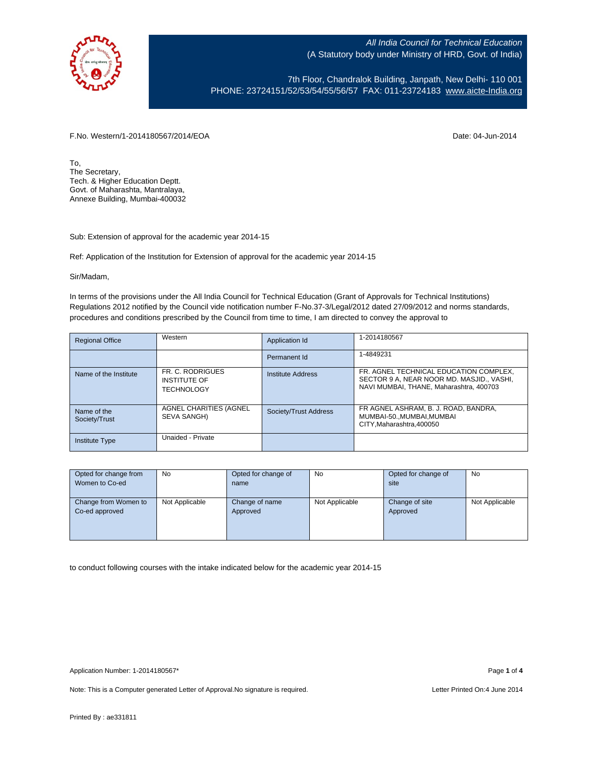

7th Floor, Chandralok Building, Janpath, New Delhi- 110 001 PHONE: 23724151/52/53/54/55/56/57 FAX: 011-23724183 [www.aicte-India.org](http://www.aicte-india.org/)

F.No. Western/1-2014180567/2014/EOA Date: 04-Jun-2014

To, The Secretary, Tech. & Higher Education Deptt. Govt. of Maharashta, Mantralaya, Annexe Building, Mumbai-400032

Sub: Extension of approval for the academic year 2014-15

Ref: Application of the Institution for Extension of approval for the academic year 2014-15

Sir/Madam,

In terms of the provisions under the All India Council for Technical Education (Grant of Approvals for Technical Institutions) Regulations 2012 notified by the Council vide notification number F-No.37-3/Legal/2012 dated 27/09/2012 and norms standards, procedures and conditions prescribed by the Council from time to time, I am directed to convey the approval to

| <b>Regional Office</b>       | Western                                                      | Application Id        | 1-2014180567                                                                                                                   |
|------------------------------|--------------------------------------------------------------|-----------------------|--------------------------------------------------------------------------------------------------------------------------------|
|                              |                                                              | Permanent Id          | 1-4849231                                                                                                                      |
| Name of the Institute        | FR. C. RODRIGUES<br><b>INSTITUTE OF</b><br><b>TECHNOLOGY</b> | Institute Address     | FR. AGNEL TECHNICAL EDUCATION COMPLEX.<br>SECTOR 9 A, NEAR NOOR MD. MASJID., VASHI,<br>NAVI MUMBAI, THANE, Maharashtra, 400703 |
| Name of the<br>Society/Trust | AGNEL CHARITIES (AGNEL<br>SEVA SANGH)                        | Society/Trust Address | FR AGNEL ASHRAM, B. J. ROAD, BANDRA,<br>MUMBAI-50MUMBAI.MUMBAI<br>CITY.Maharashtra.400050                                      |
| <b>Institute Type</b>        | Unaided - Private                                            |                       |                                                                                                                                |

| Opted for change from | <b>No</b>      | Opted for change of | No             | Opted for change of | <b>No</b>      |
|-----------------------|----------------|---------------------|----------------|---------------------|----------------|
| Women to Co-ed        |                | name                |                | site                |                |
|                       |                |                     |                |                     |                |
| Change from Women to  | Not Applicable | Change of name      | Not Applicable | Change of site      | Not Applicable |
| Co-ed approved        |                | Approved            |                | Approved            |                |
|                       |                |                     |                |                     |                |
|                       |                |                     |                |                     |                |
|                       |                |                     |                |                     |                |

to conduct following courses with the intake indicated below for the academic year 2014-15

Note: This is a Computer generated Letter of Approval. No signature is required. Letter Printed On:4 June 2014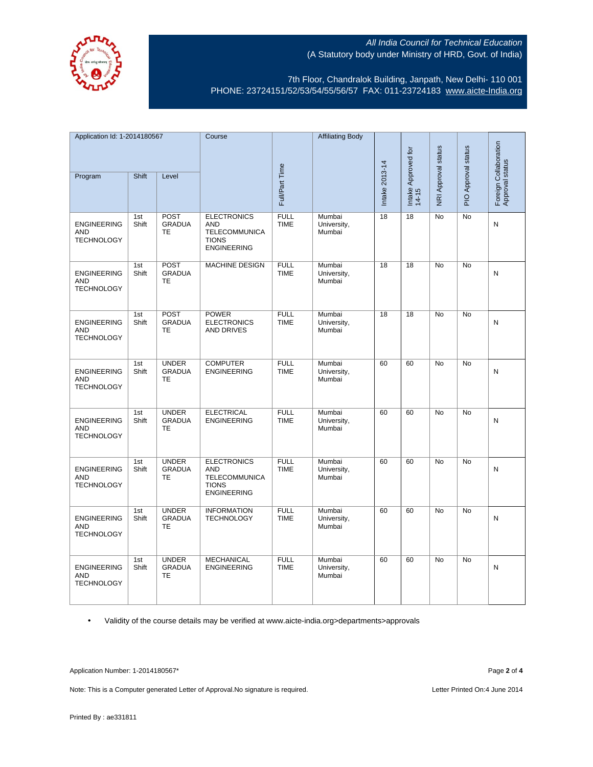

7th Floor, Chandralok Building, Janpath, New Delhi- 110 001 PHONE: 23724151/52/53/54/55/56/57 FAX: 011-23724183 [www.aicte-India.org](http://www.aicte-india.org/)

| Application Id: 1-2014180567                          |              | Course                                     |                                                                                                | <b>Affiliating Body</b>    |                                 |                                            |                     |                     |                                          |   |
|-------------------------------------------------------|--------------|--------------------------------------------|------------------------------------------------------------------------------------------------|----------------------------|---------------------------------|--------------------------------------------|---------------------|---------------------|------------------------------------------|---|
| Shift<br>Program<br>Level                             |              |                                            |                                                                                                |                            |                                 | $\overline{5}$<br>Intake Approved<br>14-15 | NRI Approval status | PIO Approval status | Foreign Collaboration<br>Approval status |   |
|                                                       |              |                                            |                                                                                                | Full/Part Time             |                                 | Intake 2013-14                             |                     |                     |                                          |   |
| <b>ENGINEERING</b><br><b>AND</b><br><b>TECHNOLOGY</b> | 1st<br>Shift | <b>POST</b><br><b>GRADUA</b><br><b>TE</b>  | <b>ELECTRONICS</b><br><b>AND</b><br><b>TELECOMMUNICA</b><br><b>TIONS</b><br><b>ENGINEERING</b> | <b>FULL</b><br><b>TIME</b> | Mumbai<br>University,<br>Mumbai | 18                                         | 18                  | No                  | <b>No</b>                                | N |
| <b>ENGINEERING</b><br><b>AND</b><br><b>TECHNOLOGY</b> | 1st<br>Shift | <b>POST</b><br><b>GRADUA</b><br><b>TE</b>  | <b>MACHINE DESIGN</b>                                                                          | <b>FULL</b><br><b>TIME</b> | Mumbai<br>University,<br>Mumbai | 18                                         | 18                  | No                  | <b>No</b>                                | N |
| <b>ENGINEERING</b><br><b>AND</b><br><b>TECHNOLOGY</b> | 1st<br>Shift | POST<br><b>GRADUA</b><br><b>TE</b>         | <b>POWER</b><br><b>ELECTRONICS</b><br><b>AND DRIVES</b>                                        | <b>FULL</b><br><b>TIME</b> | Mumbai<br>University,<br>Mumbai | 18                                         | $\overline{18}$     | <b>No</b>           | <b>No</b>                                | N |
| <b>ENGINEERING</b><br><b>AND</b><br><b>TECHNOLOGY</b> | 1st<br>Shift | <b>UNDER</b><br><b>GRADUA</b><br>TE        | <b>COMPUTER</b><br><b>ENGINEERING</b>                                                          | <b>FULL</b><br><b>TIME</b> | Mumbai<br>University,<br>Mumbai | 60                                         | 60                  | No                  | No                                       | N |
| <b>ENGINEERING</b><br>AND<br><b>TECHNOLOGY</b>        | 1st<br>Shift | <b>UNDER</b><br><b>GRADUA</b><br>TE        | <b>ELECTRICAL</b><br><b>ENGINEERING</b>                                                        | <b>FULL</b><br><b>TIME</b> | Mumbai<br>University,<br>Mumbai | 60                                         | 60                  | <b>No</b>           | <b>No</b>                                | N |
| <b>ENGINEERING</b><br><b>AND</b><br><b>TECHNOLOGY</b> | 1st<br>Shift | <b>UNDER</b><br><b>GRADUA</b><br><b>TE</b> | <b>ELECTRONICS</b><br><b>AND</b><br><b>TELECOMMUNICA</b><br><b>TIONS</b><br><b>ENGINEERING</b> | <b>FULL</b><br><b>TIME</b> | Mumbai<br>University,<br>Mumbai | 60                                         | 60                  | No                  | No                                       | N |
| <b>ENGINEERING</b><br><b>AND</b><br><b>TECHNOLOGY</b> | 1st<br>Shift | <b>UNDER</b><br><b>GRADUA</b><br><b>TE</b> | <b>INFORMATION</b><br><b>TECHNOLOGY</b>                                                        | <b>FULL</b><br><b>TIME</b> | Mumbai<br>University,<br>Mumbai | 60                                         | 60                  | No                  | No                                       | N |
| <b>ENGINEERING</b><br><b>AND</b><br><b>TECHNOLOGY</b> | 1st<br>Shift | <b>UNDER</b><br><b>GRADUA</b><br><b>TE</b> | <b>MECHANICAL</b><br><b>ENGINEERING</b>                                                        | <b>FULL</b><br><b>TIME</b> | Mumbai<br>University,<br>Mumbai | 60                                         | 60                  | No                  | No                                       | N |

• Validity of the course details may be verified at www.aicte-india.org>departments>approvals

Application Number: 1-2014180567\* Page **2** of **4**

Note: This is a Computer generated Letter of Approval.No signature is required. <br>
Letter Printed On:4 June 2014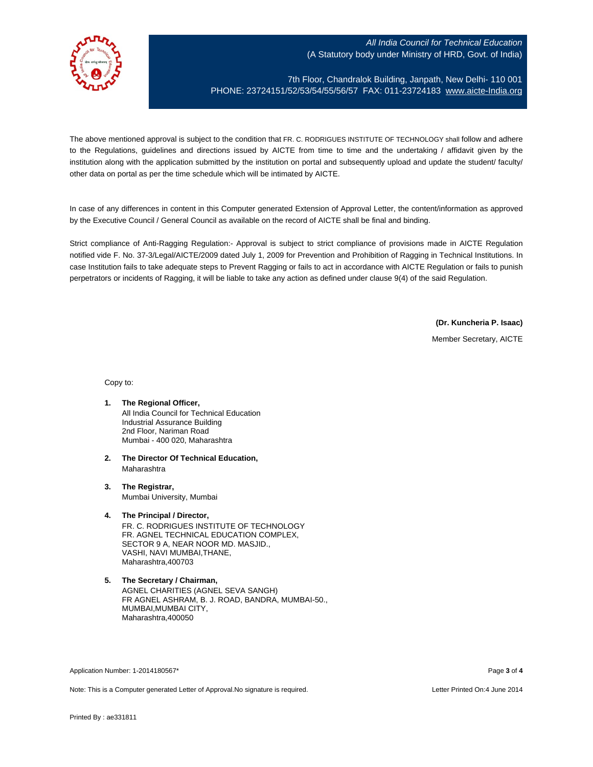

7th Floor, Chandralok Building, Janpath, New Delhi- 110 001 PHONE: 23724151/52/53/54/55/56/57 FAX: 011-23724183 [www.aicte-India.org](http://www.aicte-india.org/)

The above mentioned approval is subject to the condition that FR. C. RODRIGUES INSTITUTE OF TECHNOLOGY shall follow and adhere to the Regulations, guidelines and directions issued by AICTE from time to time and the undertaking / affidavit given by the institution along with the application submitted by the institution on portal and subsequently upload and update the student/ faculty/ other data on portal as per the time schedule which will be intimated by AICTE.

In case of any differences in content in this Computer generated Extension of Approval Letter, the content/information as approved by the Executive Council / General Council as available on the record of AICTE shall be final and binding.

Strict compliance of Anti-Ragging Regulation:- Approval is subject to strict compliance of provisions made in AICTE Regulation notified vide F. No. 37-3/Legal/AICTE/2009 dated July 1, 2009 for Prevention and Prohibition of Ragging in Technical Institutions. In case Institution fails to take adequate steps to Prevent Ragging or fails to act in accordance with AICTE Regulation or fails to punish perpetrators or incidents of Ragging, it will be liable to take any action as defined under clause 9(4) of the said Regulation.

**(Dr. Kuncheria P. Isaac)**

Member Secretary, AICTE

Copy to:

- **1. The Regional Officer,** All India Council for Technical Education Industrial Assurance Building 2nd Floor, Nariman Road Mumbai - 400 020, Maharashtra
- **2. The Director Of Technical Education,** Maharashtra
- **3. The Registrar,** Mumbai University, Mumbai
- **4. The Principal / Director,** FR. C. RODRIGUES INSTITUTE OF TECHNOLOGY FR. AGNEL TECHNICAL EDUCATION COMPLEX, SECTOR 9 A, NEAR NOOR MD. MASJID., VASHI, NAVI MUMBAI,THANE, Maharashtra,400703
- **5. The Secretary / Chairman,** AGNEL CHARITIES (AGNEL SEVA SANGH) FR AGNEL ASHRAM, B. J. ROAD, BANDRA, MUMBAI-50., MUMBAI,MUMBAI CITY, Maharashtra,400050

Application Number: 1-2014180567\* Page **3** of **4**

Note: This is a Computer generated Letter of Approval.No signature is required. Letter Printed On:4 June 2014